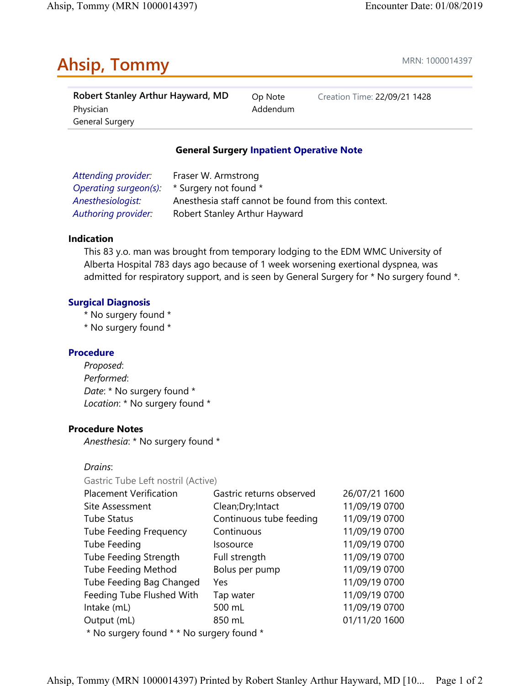# Ahsip, Tommy and the contract of the MRN: 1000014397

| Robert Stanley Arthur Hayward, MD | Op Note  | Creation Time: 22/09/21 1428 |
|-----------------------------------|----------|------------------------------|
| Physician                         | Addendum |                              |
| General Surgery                   |          |                              |

### General Surgery Inpatient Operative Note

| Attending provider:   | Fraser W. Armstrong                                 |
|-----------------------|-----------------------------------------------------|
| Operating surgeon(s): | * Surgery not found *                               |
| Anesthesiologist:     | Anesthesia staff cannot be found from this context. |
| Authoring provider:   | Robert Stanley Arthur Hayward                       |

#### Indication

This 83 y.o. man was brought from temporary lodging to the EDM WMC University of Alberta Hospital 783 days ago because of 1 week worsening exertional dyspnea, was admitted for respiratory support, and is seen by General Surgery for \* No surgery found \*.

#### Surgical Diagnosis

- \* No surgery found \*
- \* No surgery found \*

#### Procedure

Proposed: Performed: Date: \* No surgery found \* Location: \* No surgery found \*

#### Procedure Notes

Anesthesia: \* No surgery found \*

Drains:

Gastric Tube Left nostril (Active)

| <b>Placement Verification</b>               | Gastric returns observed | 26/07/21 1600 |
|---------------------------------------------|--------------------------|---------------|
| Site Assessment<br>Clean; Dry; Intact       |                          | 11/09/19 0700 |
| <b>Tube Status</b>                          | Continuous tube feeding  |               |
| <b>Tube Feeding Frequency</b><br>Continuous |                          | 11/09/19 0700 |
| Tube Feeding                                | Isosource                | 11/09/19 0700 |
| Tube Feeding Strength                       | Full strength            | 11/09/19 0700 |
| <b>Tube Feeding Method</b>                  | Bolus per pump           | 11/09/19 0700 |
| Tube Feeding Bag Changed                    | Yes                      | 11/09/19 0700 |
| Feeding Tube Flushed With                   | Tap water                | 11/09/19 0700 |
| Intake (mL)                                 | 500 mL                   | 11/09/19 0700 |
| Output (mL)                                 | 850 mL                   | 01/11/20 1600 |
| * No surgery found * * No surgery found *   |                          |               |

Ahsip, Tommy (MRN 1000014397) Printed by Robert Stanley Arthur Hayward, MD [10... Page 1 of 2